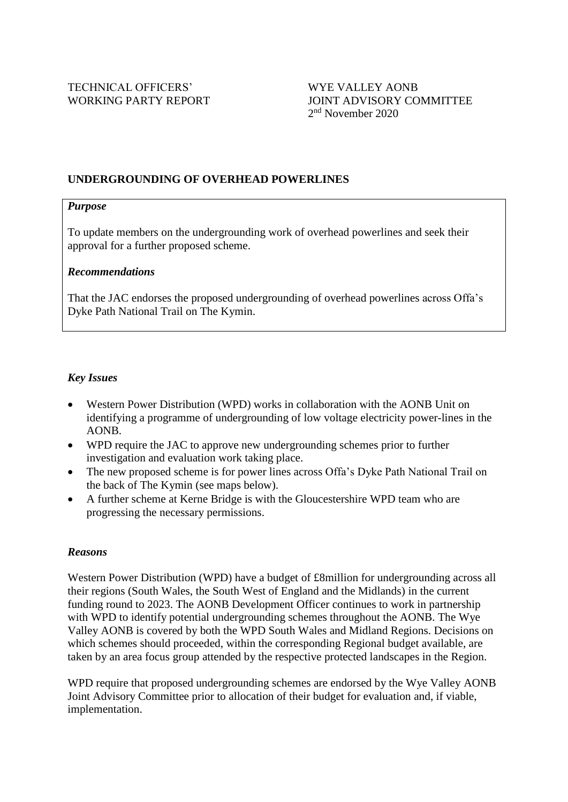## **UNDERGROUNDING OF OVERHEAD POWERLINES**

#### *Purpose*

To update members on the undergrounding work of overhead powerlines and seek their approval for a further proposed scheme.

#### *Recommendations*

That the JAC endorses the proposed undergrounding of overhead powerlines across Offa's Dyke Path National Trail on The Kymin.

#### *Key Issues*

- Western Power Distribution (WPD) works in collaboration with the AONB Unit on identifying a programme of undergrounding of low voltage electricity power-lines in the AONB.
- WPD require the JAC to approve new undergrounding schemes prior to further investigation and evaluation work taking place.
- The new proposed scheme is for power lines across Offa's Dyke Path National Trail on the back of The Kymin (see maps below).
- A further scheme at Kerne Bridge is with the Gloucestershire WPD team who are progressing the necessary permissions.

#### *Reasons*

Western Power Distribution (WPD) have a budget of £8million for undergrounding across all their regions (South Wales, the South West of England and the Midlands) in the current funding round to 2023. The AONB Development Officer continues to work in partnership with WPD to identify potential undergrounding schemes throughout the AONB. The Wye Valley AONB is covered by both the WPD South Wales and Midland Regions. Decisions on which schemes should proceeded, within the corresponding Regional budget available, are taken by an area focus group attended by the respective protected landscapes in the Region.

WPD require that proposed undergrounding schemes are endorsed by the Wye Valley AONB Joint Advisory Committee prior to allocation of their budget for evaluation and, if viable, implementation.